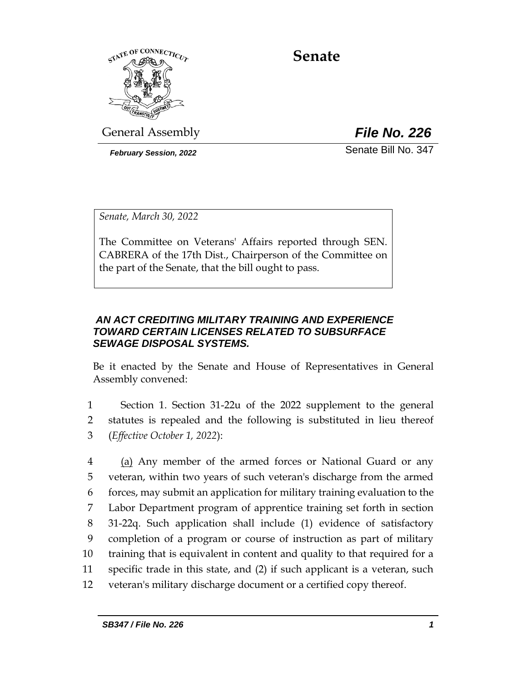

# **Senate**

General Assembly *File No. 226*

*February Session, 2022* Senate Bill No. 347

*Senate, March 30, 2022*

The Committee on Veterans' Affairs reported through SEN. CABRERA of the 17th Dist., Chairperson of the Committee on the part of the Senate, that the bill ought to pass.

# *AN ACT CREDITING MILITARY TRAINING AND EXPERIENCE TOWARD CERTAIN LICENSES RELATED TO SUBSURFACE SEWAGE DISPOSAL SYSTEMS.*

Be it enacted by the Senate and House of Representatives in General Assembly convened:

1 Section 1. Section 31-22u of the 2022 supplement to the general 2 statutes is repealed and the following is substituted in lieu thereof 3 (*Effective October 1, 2022*):

4 (a) Any member of the armed forces or National Guard or any veteran, within two years of such veteran's discharge from the armed forces, may submit an application for military training evaluation to the Labor Department program of apprentice training set forth in section 31-22q. Such application shall include (1) evidence of satisfactory completion of a program or course of instruction as part of military training that is equivalent in content and quality to that required for a specific trade in this state, and (2) if such applicant is a veteran, such veteran's military discharge document or a certified copy thereof.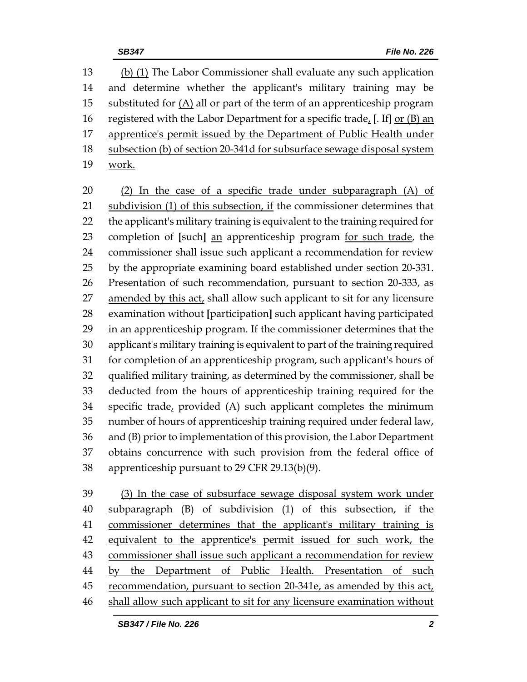(b) (1) The Labor Commissioner shall evaluate any such application and determine whether the applicant's military training may be 15 substituted for  $(A)$  all or part of the term of an apprenticeship program registered with the Labor Department for a specific trade, **[**. If**]** or (B) an apprentice's permit issued by the Department of Public Health under 18 subsection (b) of section 20-341d for subsurface sewage disposal system work.

 (2) In the case of a specific trade under subparagraph (A) of subdivision (1) of this subsection, if the commissioner determines that the applicant's military training is equivalent to the training required for completion of **[**such**]** an apprenticeship program for such trade, the commissioner shall issue such applicant a recommendation for review by the appropriate examining board established under section 20-331. 26 Presentation of such recommendation, pursuant to section 20-333, as amended by this act, shall allow such applicant to sit for any licensure examination without **[**participation**]** such applicant having participated in an apprenticeship program. If the commissioner determines that the applicant's military training is equivalent to part of the training required for completion of an apprenticeship program, such applicant's hours of qualified military training, as determined by the commissioner, shall be deducted from the hours of apprenticeship training required for the specific trade, provided (A) such applicant completes the minimum number of hours of apprenticeship training required under federal law, and (B) prior to implementation of this provision, the Labor Department obtains concurrence with such provision from the federal office of apprenticeship pursuant to 29 CFR 29.13(b)(9).

 (3) In the case of subsurface sewage disposal system work under subparagraph (B) of subdivision (1) of this subsection, if the commissioner determines that the applicant's military training is equivalent to the apprentice's permit issued for such work, the commissioner shall issue such applicant a recommendation for review by the Department of Public Health. Presentation of such recommendation, pursuant to section 20-341e, as amended by this act, shall allow such applicant to sit for any licensure examination without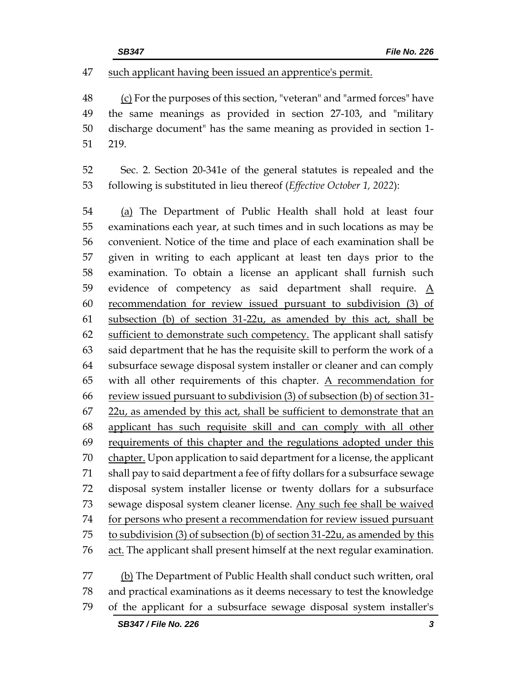#### such applicant having been issued an apprentice's permit.

 (c) For the purposes of this section, "veteran" and "armed forces" have the same meanings as provided in section 27-103, and "military discharge document" has the same meaning as provided in section 1- 219.

 Sec. 2. Section 20-341e of the general statutes is repealed and the following is substituted in lieu thereof (*Effective October 1, 2022*):

 (a) The Department of Public Health shall hold at least four examinations each year, at such times and in such locations as may be convenient. Notice of the time and place of each examination shall be given in writing to each applicant at least ten days prior to the examination. To obtain a license an applicant shall furnish such 59 evidence of competency as said department shall require.  $\underline{A}$  recommendation for review issued pursuant to subdivision (3) of subsection (b) of section 31-22u, as amended by this act, shall be 62 sufficient to demonstrate such competency. The applicant shall satisfy said department that he has the requisite skill to perform the work of a subsurface sewage disposal system installer or cleaner and can comply 65 with all other requirements of this chapter.  $\Delta$  recommendation for review issued pursuant to subdivision (3) of subsection (b) of section 31- 22u, as amended by this act, shall be sufficient to demonstrate that an applicant has such requisite skill and can comply with all other 69 requirements of this chapter and the regulations adopted under this 70 chapter. Upon application to said department for a license, the applicant shall pay to said department a fee of fifty dollars for a subsurface sewage disposal system installer license or twenty dollars for a subsurface 73 sewage disposal system cleaner license. Any such fee shall be waived 74 for persons who present a recommendation for review issued pursuant to subdivision (3) of subsection (b) of section 31-22u, as amended by this 76 act. The applicant shall present himself at the next regular examination.

77 (b) The Department of Public Health shall conduct such written, oral and practical examinations as it deems necessary to test the knowledge of the applicant for a subsurface sewage disposal system installer's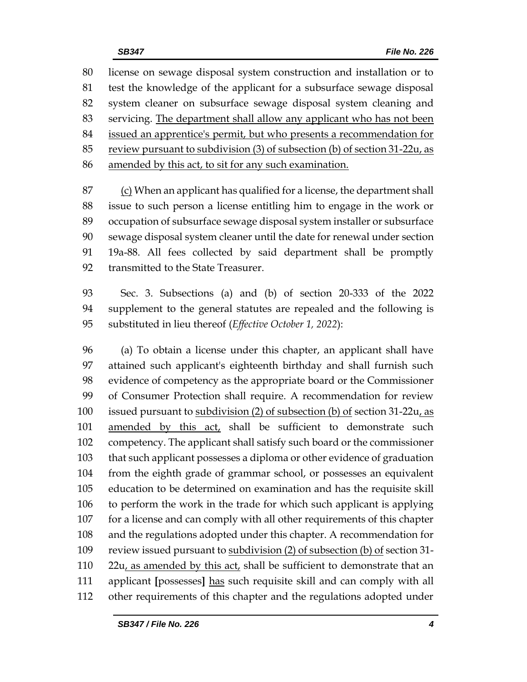license on sewage disposal system construction and installation or to test the knowledge of the applicant for a subsurface sewage disposal system cleaner on subsurface sewage disposal system cleaning and servicing. The department shall allow any applicant who has not been issued an apprentice's permit, but who presents a recommendation for review pursuant to subdivision (3) of subsection (b) of section 31-22u, as amended by this act, to sit for any such examination.

 (c) When an applicant has qualified for a license, the department shall issue to such person a license entitling him to engage in the work or occupation of subsurface sewage disposal system installer or subsurface sewage disposal system cleaner until the date for renewal under section 19a-88. All fees collected by said department shall be promptly transmitted to the State Treasurer.

 Sec. 3. Subsections (a) and (b) of section 20-333 of the 2022 supplement to the general statutes are repealed and the following is substituted in lieu thereof (*Effective October 1, 2022*):

 (a) To obtain a license under this chapter, an applicant shall have attained such applicant's eighteenth birthday and shall furnish such evidence of competency as the appropriate board or the Commissioner of Consumer Protection shall require. A recommendation for review 100 issued pursuant to subdivision (2) of subsection (b) of section 31-22u, as 101 amended by this act, shall be sufficient to demonstrate such competency. The applicant shall satisfy such board or the commissioner that such applicant possesses a diploma or other evidence of graduation from the eighth grade of grammar school, or possesses an equivalent education to be determined on examination and has the requisite skill to perform the work in the trade for which such applicant is applying for a license and can comply with all other requirements of this chapter and the regulations adopted under this chapter. A recommendation for 109 review issued pursuant to subdivision (2) of subsection (b) of section 31- $22u$ , as amended by this act, shall be sufficient to demonstrate that an applicant **[**possesses**]** has such requisite skill and can comply with all other requirements of this chapter and the regulations adopted under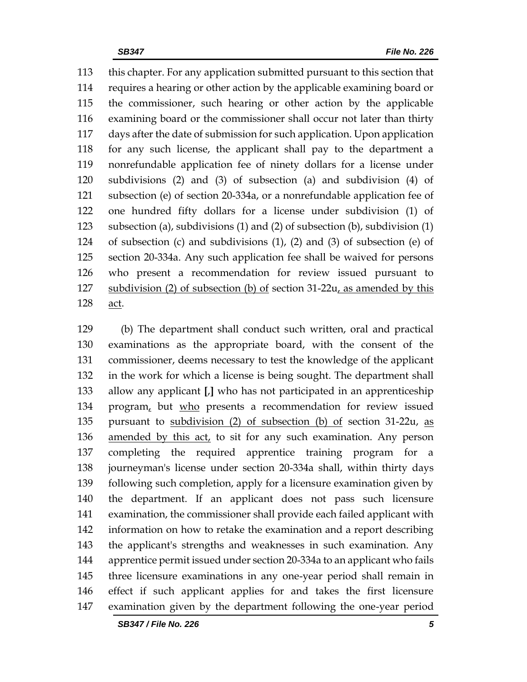this chapter. For any application submitted pursuant to this section that requires a hearing or other action by the applicable examining board or the commissioner, such hearing or other action by the applicable examining board or the commissioner shall occur not later than thirty days after the date of submission for such application. Upon application for any such license, the applicant shall pay to the department a nonrefundable application fee of ninety dollars for a license under subdivisions (2) and (3) of subsection (a) and subdivision (4) of subsection (e) of section 20-334a, or a nonrefundable application fee of one hundred fifty dollars for a license under subdivision (1) of subsection (a), subdivisions (1) and (2) of subsection (b), subdivision (1) of subsection (c) and subdivisions (1), (2) and (3) of subsection (e) of section 20-334a. Any such application fee shall be waived for persons who present a recommendation for review issued pursuant to subdivision (2) of subsection (b) of section 31-22u, as amended by this act.

 (b) The department shall conduct such written, oral and practical examinations as the appropriate board, with the consent of the commissioner, deems necessary to test the knowledge of the applicant in the work for which a license is being sought. The department shall allow any applicant **[**,**]** who has not participated in an apprenticeship 134 program, but who presents a recommendation for review issued pursuant to subdivision (2) of subsection (b) of section 31-22u, as 136 amended by this act, to sit for any such examination. Any person completing the required apprentice training program for a journeyman's license under section 20-334a shall, within thirty days following such completion, apply for a licensure examination given by the department. If an applicant does not pass such licensure examination, the commissioner shall provide each failed applicant with information on how to retake the examination and a report describing the applicant's strengths and weaknesses in such examination. Any apprentice permit issued under section 20-334a to an applicant who fails three licensure examinations in any one-year period shall remain in effect if such applicant applies for and takes the first licensure examination given by the department following the one-year period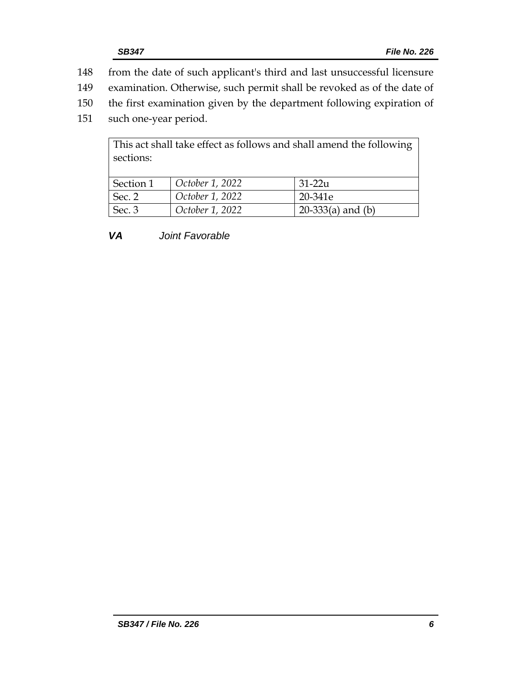- 148 from the date of such applicant's third and last unsuccessful licensure
- 149 examination. Otherwise, such permit shall be revoked as of the date of
- 150 the first examination given by the department following expiration of
- 151 such one-year period.

| This act shall take effect as follows and shall amend the following<br>sections: |                 |                     |  |  |
|----------------------------------------------------------------------------------|-----------------|---------------------|--|--|
| Section 1                                                                        | October 1, 2022 | $31-22u$            |  |  |
| Sec. 2                                                                           | October 1, 2022 | 20-341e             |  |  |
| Sec. 3                                                                           | October 1, 2022 | 20-333(a) and $(b)$ |  |  |

*VA Joint Favorable*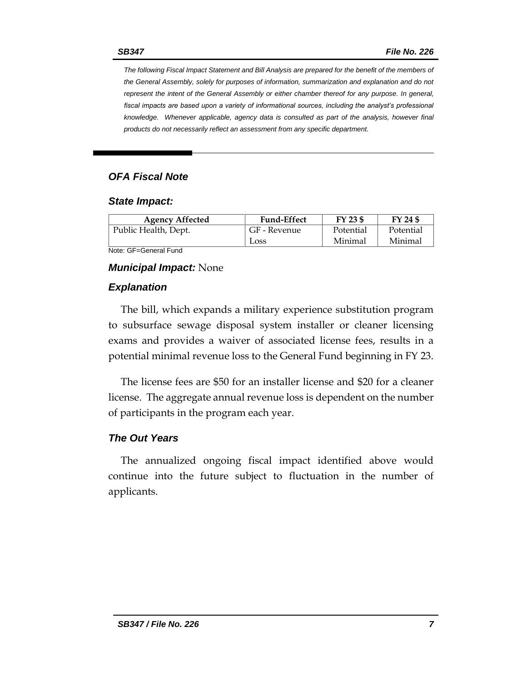*The following Fiscal Impact Statement and Bill Analysis are prepared for the benefit of the members of the General Assembly, solely for purposes of information, summarization and explanation and do not represent the intent of the General Assembly or either chamber thereof for any purpose. In general,*  fiscal impacts are based upon a variety of informational sources, including the analyst's professional *knowledge. Whenever applicable, agency data is consulted as part of the analysis, however final products do not necessarily reflect an assessment from any specific department.*

### *OFA Fiscal Note*

#### *State Impact:*

| <b>Agency Affected</b> | <b>Fund-Effect</b> | FY 23 \$  | FY 24 \$  |
|------------------------|--------------------|-----------|-----------|
| Public Health, Dept.   | GF - Revenue       | Potential | Potential |
|                        | Loss               | Minimal   | Minimal   |

Note: GF=General Fund

#### *Municipal Impact:* None

#### *Explanation*

The bill, which expands a military experience substitution program to subsurface sewage disposal system installer or cleaner licensing exams and provides a waiver of associated license fees, results in a potential minimal revenue loss to the General Fund beginning in FY 23.

The license fees are \$50 for an installer license and \$20 for a cleaner license. The aggregate annual revenue loss is dependent on the number of participants in the program each year.

### *The Out Years*

The annualized ongoing fiscal impact identified above would continue into the future subject to fluctuation in the number of applicants.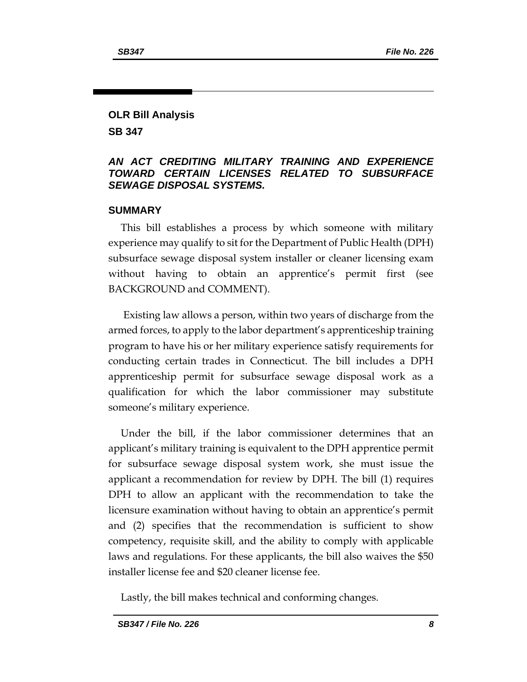# **OLR Bill Analysis**

**SB 347**

### *AN ACT CREDITING MILITARY TRAINING AND EXPERIENCE TOWARD CERTAIN LICENSES RELATED TO SUBSURFACE SEWAGE DISPOSAL SYSTEMS.*

## **SUMMARY**

This bill establishes a process by which someone with military experience may qualify to sit for the Department of Public Health (DPH) subsurface sewage disposal system installer or cleaner licensing exam without having to obtain an apprentice's permit first (see BACKGROUND and COMMENT).

Existing law allows a person, within two years of discharge from the armed forces, to apply to the labor department's apprenticeship training program to have his or her military experience satisfy requirements for conducting certain trades in Connecticut. The bill includes a DPH apprenticeship permit for subsurface sewage disposal work as a qualification for which the labor commissioner may substitute someone's military experience.

Under the bill, if the labor commissioner determines that an applicant's military training is equivalent to the DPH apprentice permit for subsurface sewage disposal system work, she must issue the applicant a recommendation for review by DPH. The bill (1) requires DPH to allow an applicant with the recommendation to take the licensure examination without having to obtain an apprentice's permit and (2) specifies that the recommendation is sufficient to show competency, requisite skill, and the ability to comply with applicable laws and regulations. For these applicants, the bill also waives the \$50 installer license fee and \$20 cleaner license fee.

Lastly, the bill makes technical and conforming changes.